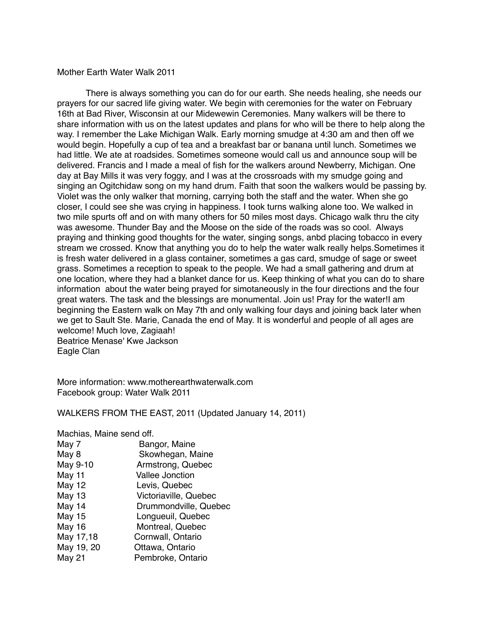## Mother Earth Water Walk 2011

There is always something you can do for our earth. She needs healing, she needs our prayers for our sacred life giving water. We begin with ceremonies for the water on February 16th at Bad River, Wisconsin at our Midewewin Ceremonies. Many walkers will be there to share information with us on the latest updates and plans for who will be there to help along the way. I remember the Lake Michigan Walk. Early morning smudge at 4:30 am and then off we would begin. Hopefully a cup of tea and a breakfast bar or banana until lunch. Sometimes we had little. We ate at roadsides. Sometimes someone would call us and announce soup will be delivered. Francis and I made a meal of fish for the walkers around Newberry, Michigan. One day at Bay Mills it was very foggy, and I was at the crossroads with my smudge going and singing an Ogitchidaw song on my hand drum. Faith that soon the walkers would be passing by. Violet was the only walker that morning, carrying both the staff and the water. When she go closer, I could see she was crying in happiness. I took turns walking alone too. We walked in two mile spurts off and on with many others for 50 miles most days. Chicago walk thru the city was awesome. Thunder Bay and the Moose on the side of the roads was so cool. Always praying and thinking good thoughts for the water, singing songs, anbd placing tobacco in every stream we crossed. Know that anything you do to help the water walk really helps.Sometimes it is fresh water delivered in a glass container, sometimes a gas card, smudge of sage or sweet grass. Sometimes a reception to speak to the people. We had a small gathering and drum at one location, where they had a blanket dance for us. Keep thinking of what you can do to share information about the water being prayed for simotaneously in the four directions and the four great waters. The task and the blessings are monumental. Join us! Pray for the water!I am beginning the Eastern walk on May 7th and only walking four days and joining back later when we get to Sault Ste. Marie, Canada the end of May. It is wonderful and people of all ages are welcome! Much love, Zagiaah! Beatrice Menase' Kwe Jackson Eagle Clan

More information: www.motherearthwaterwalk.com Facebook group: Water Walk 2011

WALKERS FROM THE EAST, 2011 (Updated January 14, 2011)

Machias, Maine send off.

| May 7         | Bangor, Maine          |
|---------------|------------------------|
| May 8         | Skowhegan, Maine       |
| May 9-10      | Armstrong, Quebec      |
| May 11        | <b>Vallee Jonction</b> |
| <b>May 12</b> | Levis, Quebec          |
| <b>May 13</b> | Victoriaville, Quebec  |
| May 14        | Drummondville, Quebec  |
| May 15        | Longueuil, Quebec      |
| <b>May 16</b> | Montreal, Quebec       |
| May 17,18     | Cornwall, Ontario      |
| May 19, 20    | Ottawa, Ontario        |
| <b>May 21</b> | Pembroke, Ontario      |
|               |                        |